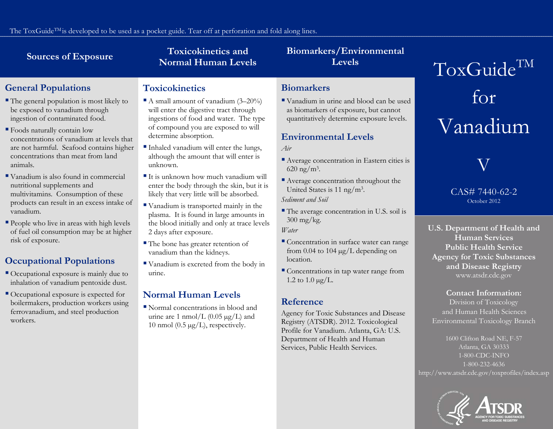### **Toxicokinetics and** Sources of Exposure<br>
Normal Human Levels **Levels**

# **Biomarkers/Environmental**

# **General Populations**

- The general population is most likely to be exposed to vanadium through ingestion of contaminated food.
- Foods naturally contain low concentrations of vanadium at levels that are not harmful. Seafood contains higher concentrations than meat from land animals.
- Vanadium is also found in commercial nutritional supplements and multivitamins. Consumption of these products can result in an excess intake of vanadium.
- **People who live in areas with high levels** of fuel oil consumption may be at higher risk of exposure.

# **Occupational Populations**

- Occupational exposure is mainly due to inhalation of vanadium pentoxide dust.
- Occupational exposure is expected for boilermakers, production workers using ferrovanadium, and steel production workers.

# **Toxicokinetics**

- A small amount of vanadium  $(3-20\%)$ will enter the digestive tract through ingestions of food and water. The type of compound you are exposed to will determine absorption.
- Inhaled vanadium will enter the lungs, although the amount that will enter is unknown.
- $\blacksquare$  It is unknown how much vanadium will enter the body through the skin, but it is likely that very little will be absorbed.
- Vanadium is transported mainly in the plasma. It is found in large amounts in the blood initially and only at trace levels 2 days after exposure.
- The bone has greater retention of vanadium than the kidneys.
- Vanadium is excreted from the body in urine.

# **Normal Human Levels**

 Normal concentrations in blood and urine are 1 nmol/L  $(0.05 \mu g/L)$  and 10 nmol (0.5  $\mu$ g/L), respectively.

# **Biomarkers**

 Vanadium in urine and blood can be used as biomarkers of exposure, but cannot quantitatively determine exposure levels.

# **Environmental Levels**

*Air*

- Average concentration in Eastern cities is  $620 \text{ ng/m}^3$ .
- Average concentration throughout the United States is 11 ng/m3.

*Sediment and Soil*

 The average concentration in U.S. soil is 300 mg/kg.

*Water*

- Concentration in surface water can range from 0.04 to 104  $\mu$ g/L depending on location.
- Concentrations in tap water range from 1.2 to  $1.0 \,\mu g/L$ .

# **Reference**

Agency for Toxic Substances and Disease Registry (ATSDR). 2012. Toxicological Profile for Vanadium. Atlanta, GA: U.S. Department of Health and Human Services, Public Health Services.

 $ToxGuide^{TM}$ for Vanadium

V

#### CAS# 7440-62-2 October 2012

**U.S. Department of Health and Human Services Public Health Service Agency for Toxic Substances and Disease Registry** www.atsdr.cdc.gov

### **Contact Information:**

Division of Toxicology and Human Health Sciences Environmental Toxicology Branch

1600 Clifton Road NE, F-57 Atlanta, GA 30333 1-800-CDC-INFO 1-800-232-4636 http://www.atsdr.cdc.gov/toxprofiles/index.asp